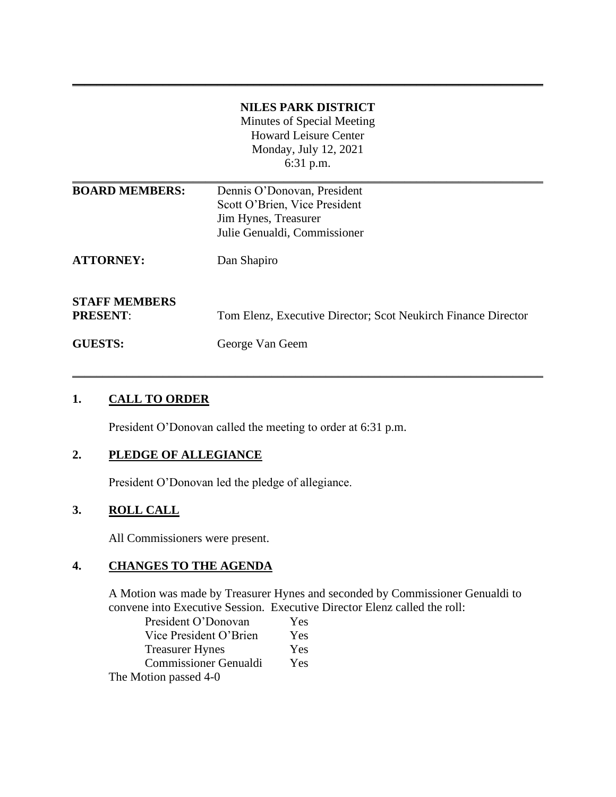|                                         | <b>NILES PARK DISTRICT</b><br>Minutes of Special Meeting<br><b>Howard Leisure Center</b><br>Monday, July 12, 2021    |
|-----------------------------------------|----------------------------------------------------------------------------------------------------------------------|
|                                         | 6:31 p.m.                                                                                                            |
| <b>BOARD MEMBERS:</b>                   | Dennis O'Donovan, President<br>Scott O'Brien, Vice President<br>Jim Hynes, Treasurer<br>Julie Genualdi, Commissioner |
| <b>ATTORNEY:</b>                        | Dan Shapiro                                                                                                          |
| <b>STAFF MEMBERS</b><br><b>PRESENT:</b> | Tom Elenz, Executive Director; Scot Neukirch Finance Director                                                        |
| <b>GUESTS:</b>                          | George Van Geem                                                                                                      |

\_\_\_\_\_\_\_\_\_\_\_\_\_\_\_\_\_\_\_\_\_\_\_\_\_\_\_\_\_\_\_\_\_\_\_\_\_\_\_\_\_\_\_\_\_\_\_\_\_\_\_\_\_\_\_\_\_\_\_\_\_\_\_\_\_\_\_\_\_\_\_\_\_\_\_\_\_\_

**\_\_\_\_\_\_\_\_\_\_\_\_\_\_\_\_\_\_\_\_\_\_\_\_\_\_\_\_\_\_\_\_\_\_\_\_\_\_\_\_\_\_\_\_\_\_\_\_\_\_\_\_\_\_\_\_\_\_\_\_\_\_\_\_\_\_\_\_\_\_\_\_\_\_\_\_\_\_**

### **1. CALL TO ORDER**

President O'Donovan called the meeting to order at 6:31 p.m.

#### **2. PLEDGE OF ALLEGIANCE**

President O'Donovan led the pledge of allegiance.

# **3. ROLL CALL**

All Commissioners were present.

# **4. CHANGES TO THE AGENDA**

A Motion was made by Treasurer Hynes and seconded by Commissioner Genualdi to convene into Executive Session. Executive Director Elenz called the roll:

| President O'Donovan          | Yes |
|------------------------------|-----|
| Vice President O'Brien       | Yes |
| <b>Treasurer Hynes</b>       | Yes |
| <b>Commissioner Genualdi</b> | Yes |
| The Motion passed 4-0        |     |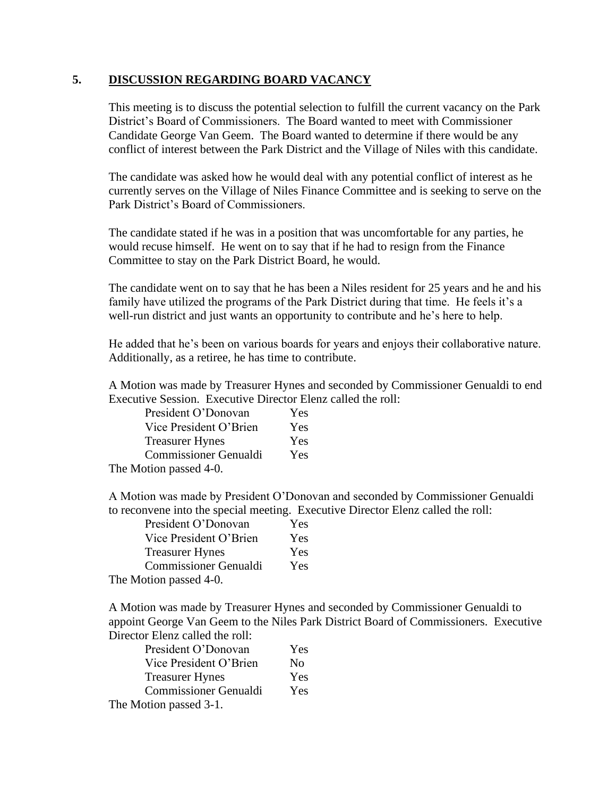#### **5. DISCUSSION REGARDING BOARD VACANCY**

This meeting is to discuss the potential selection to fulfill the current vacancy on the Park District's Board of Commissioners. The Board wanted to meet with Commissioner Candidate George Van Geem. The Board wanted to determine if there would be any conflict of interest between the Park District and the Village of Niles with this candidate.

The candidate was asked how he would deal with any potential conflict of interest as he currently serves on the Village of Niles Finance Committee and is seeking to serve on the Park District's Board of Commissioners.

The candidate stated if he was in a position that was uncomfortable for any parties, he would recuse himself. He went on to say that if he had to resign from the Finance Committee to stay on the Park District Board, he would.

The candidate went on to say that he has been a Niles resident for 25 years and he and his family have utilized the programs of the Park District during that time. He feels it's a well-run district and just wants an opportunity to contribute and he's here to help.

He added that he's been on various boards for years and enjoys their collaborative nature. Additionally, as a retiree, he has time to contribute.

A Motion was made by Treasurer Hynes and seconded by Commissioner Genualdi to end Executive Session. Executive Director Elenz called the roll:

| President O'Donovan          | Yes |
|------------------------------|-----|
| Vice President O'Brien       | Yes |
| <b>Treasurer Hynes</b>       | Yes |
| <b>Commissioner Genualdi</b> | Yes |
| The Motion passed 4-0.       |     |

A Motion was made by President O'Donovan and seconded by Commissioner Genualdi to reconvene into the special meeting. Executive Director Elenz called the roll:

| President O'Donovan          | Yes |
|------------------------------|-----|
| Vice President O'Brien       | Yes |
| <b>Treasurer Hynes</b>       | Yes |
| <b>Commissioner Genualdi</b> | Yes |
| The Motion passed 4-0.       |     |

A Motion was made by Treasurer Hynes and seconded by Commissioner Genualdi to appoint George Van Geem to the Niles Park District Board of Commissioners. Executive Director Elenz called the roll:

| President O'Donovan          | Yes |
|------------------------------|-----|
| Vice President O'Brien       | No  |
| <b>Treasurer Hynes</b>       | Yes |
| <b>Commissioner Genualdi</b> | Yes |
| The Motion passed 3-1.       |     |